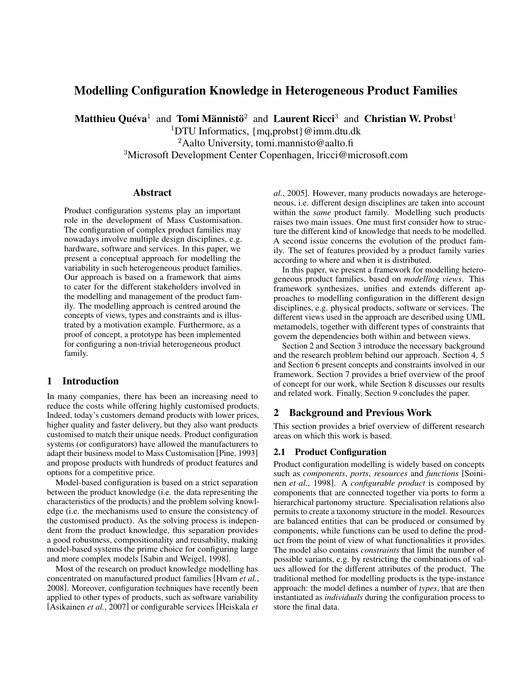# Modelling Configuration Knowledge in Heterogeneous Product Families

Matthieu Quéva<sup>1</sup> and Tomi Männistö<sup>2</sup> and Laurent Ricci<sup>3</sup> and Christian W. Probst<sup>1</sup>

<sup>1</sup>DTU Informatics,  ${mg, probst}$  $@imm.dt u.dk$ 

<sup>2</sup>Aalto University, tomi.mannisto@aalto.fi

<sup>3</sup>Microsoft Development Center Copenhagen, lricci@microsoft.com

### Abstract

Product configuration systems play an important role in the development of Mass Customisation. The configuration of complex product families may nowadays involve multiple design disciplines, e.g. hardware, software and services. In this paper, we present a conceptual approach for modelling the variability in such heterogeneous product families. Our approach is based on a framework that aims to cater for the different stakeholders involved in the modelling and management of the product family. The modelling approach is centred around the concepts of views, types and constraints and is illustrated by a motivation example. Furthermore, as a proof of concept, a prototype has been implemented for configuring a non-trivial heterogeneous product family.

### 1 Introduction

In many companies, there has been an increasing need to reduce the costs while offering highly customised products. Indeed, today's customers demand products with lower prices, higher quality and faster delivery, but they also want products customised to match their unique needs. Product configuration systems (or configurators) have allowed the manufacturers to adapt their business model to Mass Customisation [Pine, 1993] and propose products with hundreds of product features and options for a competitive price.

Model-based configuration is based on a strict separation between the product knowledge (i.e. the data representing the characteristics of the products) and the problem solving knowledge (i.e. the mechanisms used to ensure the consistency of the customised product). As the solving process is independent from the product knowledge, this separation provides a good robustness, compositionality and reusability, making model-based systems the prime choice for configuring large and more complex models [Sabin and Weigel, 1998].

Most of the research on product knowledge modelling has concentrated on manufactured product families [Hvam *et al.*, 2008]. Moreover, configuration techniques have recently been applied to other types of products, such as software variability [Asikainen *et al.*, 2007] or configurable services [Heiskala *et*

*al.*, 2005]. However, many products nowadays are heterogeneous, i.e. different design disciplines are taken into account within the *same* product family. Modelling such products raises two main issues. One must first consider how to structure the different kind of knowledge that needs to be modelled. A second issue concerns the evolution of the product family. The set of features provided by a product family varies according to where and when it is distributed.

In this paper, we present a framework for modelling heterogeneous product families, based on *modelling views*. This framework synthesizes, unifies and extends different approaches to modelling configuration in the different design disciplines, e.g. physical products, software or services. The different views used in the approach are described using UML metamodels, together with different types of constraints that govern the dependencies both within and between views.

Section 2 and Section 3 introduce the necessary background and the research problem behind our approach. Section 4, 5 and Section 6 present concepts and constraints involved in our framework. Section 7 provides a brief overview of the proof of concept for our work, while Section 8 discusses our results and related work. Finally, Section 9 concludes the paper.

### 2 Background and Previous Work

This section provides a brief overview of different research areas on which this work is based.

#### 2.1 Product Configuration

Product configuration modelling is widely based on concepts such as *components*, *ports*, *resources* and *functions* [Soininen *et al.*, 1998]. A *configurable product* is composed by components that are connected together via ports to form a hierarchical partonomy structure. Specialisation relations also permits to create a taxonomy structure in the model. Resources are balanced entities that can be produced or consumed by components, while functions can be used to define the product from the point of view of what functionalities it provides. The model also contains *constraints* that limit the number of possible variants, e.g. by restricting the combinations of values allowed for the different attributes of the product. The traditional method for modelling products is the type-instance approach: the model defines a number of *types*, that are then instantiated as *individuals* during the configuration process to store the final data.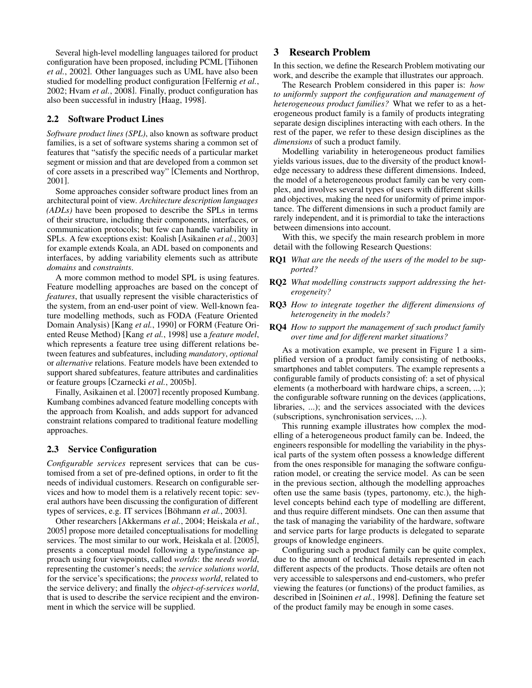Several high-level modelling languages tailored for product configuration have been proposed, including PCML [Tiihonen *et al.*, 2002]. Other languages such as UML have also been studied for modelling product configuration [Felfernig *et al.*, 2002; Hvam *et al.*, 2008]. Finally, product configuration has also been successful in industry [Haag, 1998].

### 2.2 Software Product Lines

*Software product lines (SPL)*, also known as software product families, is a set of software systems sharing a common set of features that "satisfy the specific needs of a particular market segment or mission and that are developed from a common set of core assets in a prescribed way" [Clements and Northrop, 2001].

Some approaches consider software product lines from an architectural point of view. *Architecture description languages (ADLs)* have been proposed to describe the SPLs in terms of their structure, including their components, interfaces, or communication protocols; but few can handle variability in SPLs. A few exceptions exist: Koalish [Asikainen *et al.*, 2003] for example extends Koala, an ADL based on components and interfaces, by adding variability elements such as attribute *domains* and *constraints*.

A more common method to model SPL is using features. Feature modelling approaches are based on the concept of *features*, that usually represent the visible characteristics of the system, from an end-user point of view. Well-known feature modelling methods, such as FODA (Feature Oriented Domain Analysis) [Kang *et al.*, 1990] or FORM (Feature Oriented Reuse Method) [Kang *et al.*, 1998] use a *feature model*, which represents a feature tree using different relations between features and subfeatures, including *mandatory*, *optional* or *alternative* relations. Feature models have been extended to support shared subfeatures, feature attributes and cardinalities or feature groups [Czarnecki *et al.*, 2005b].

Finally, Asikainen et al. [2007] recently proposed Kumbang. Kumbang combines advanced feature modelling concepts with the approach from Koalish, and adds support for advanced constraint relations compared to traditional feature modelling approaches.

### 2.3 Service Configuration

*Configurable services* represent services that can be customised from a set of pre-defined options, in order to fit the needs of individual customers. Research on configurable services and how to model them is a relatively recent topic: several authors have been discussing the configuration of different types of services, e.g. IT services [Böhmann *et al.*, 2003].

Other researchers [Akkermans *et al.*, 2004; Heiskala *et al.*, 2005] propose more detailed conceptualisations for modelling services. The most similar to our work, Heiskala et al. [2005], presents a conceptual model following a type/instance approach using four viewpoints, called *worlds*: the *needs world*, representing the customer's needs; the *service solutions world*, for the service's specifications; the *process world*, related to the service delivery; and finally the *object-of-services world*, that is used to describe the service recipient and the environment in which the service will be supplied.

## 3 Research Problem

In this section, we define the Research Problem motivating our work, and describe the example that illustrates our approach.

The Research Problem considered in this paper is: *how to uniformly support the configuration and management of heterogeneous product families?* What we refer to as a heterogeneous product family is a family of products integrating separate design disciplines interacting with each others. In the rest of the paper, we refer to these design disciplines as the *dimensions* of such a product family.

Modelling variability in heterogeneous product families yields various issues, due to the diversity of the product knowledge necessary to address these different dimensions. Indeed, the model of a heterogeneous product family can be very complex, and involves several types of users with different skills and objectives, making the need for uniformity of prime importance. The different dimensions in such a product family are rarely independent, and it is primordial to take the interactions between dimensions into account.

With this, we specify the main research problem in more detail with the following Research Questions:

- RQ1 *What are the needs of the users of the model to be supported?*
- RQ2 *What modelling constructs support addressing the heterogeneity?*
- RQ3 *How to integrate together the different dimensions of heterogeneity in the models?*
- RQ4 *How to support the management of such product family over time and for different market situations?*

As a motivation example, we present in Figure 1 a simplified version of a product family consisting of netbooks, smartphones and tablet computers. The example represents a configurable family of products consisting of: a set of physical elements (a motherboard with hardware chips, a screen, ...); the configurable software running on the devices (applications, libraries, ...); and the services associated with the devices (subscriptions, synchronisation services, ...).

This running example illustrates how complex the modelling of a heterogeneous product family can be. Indeed, the engineers responsible for modelling the variability in the physical parts of the system often possess a knowledge different from the ones responsible for managing the software configuration model, or creating the service model. As can be seen in the previous section, although the modelling approaches often use the same basis (types, partonomy, etc.), the highlevel concepts behind each type of modelling are different, and thus require different mindsets. One can then assume that the task of managing the variability of the hardware, software and service parts for large products is delegated to separate groups of knowledge engineers.

Configuring such a product family can be quite complex, due to the amount of technical details represented in each different aspects of the products. Those details are often not very accessible to salespersons and end-customers, who prefer viewing the features (or functions) of the product families, as described in [Soininen *et al.*, 1998]. Defining the feature set of the product family may be enough in some cases.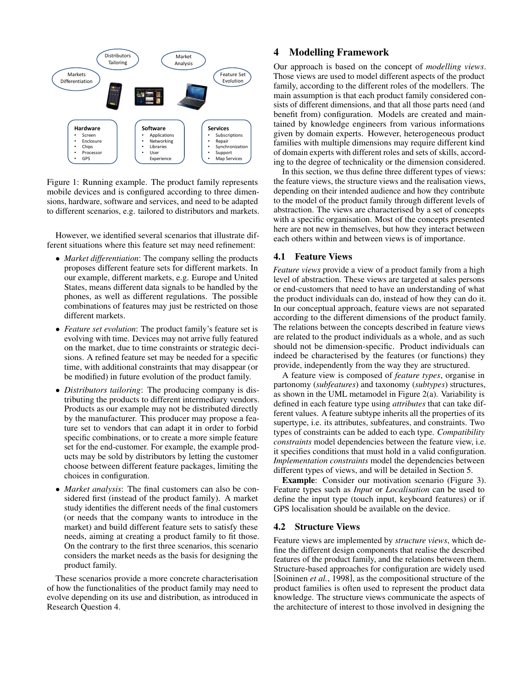

Figure 1: Running example. The product family represents mobile devices and is configured according to three dimensions, hardware, software and services, and need to be adapted to different scenarios, e.g. tailored to distributors and markets.

However, we identified several scenarios that illustrate different situations where this feature set may need refinement:

- *Market differentiation*: The company selling the products proposes different feature sets for different markets. In our example, different markets, e.g. Europe and United States, means different data signals to be handled by the phones, as well as different regulations. The possible combinations of features may just be restricted on those different markets.
- *Feature set evolution*: The product family's feature set is evolving with time. Devices may not arrive fully featured on the market, due to time constraints or strategic decisions. A refined feature set may be needed for a specific time, with additional constraints that may disappear (or be modified) in future evolution of the product family.
- *Distributors tailoring*: The producing company is distributing the products to different intermediary vendors. Products as our example may not be distributed directly by the manufacturer. This producer may propose a feature set to vendors that can adapt it in order to forbid specific combinations, or to create a more simple feature set for the end-customer. For example, the example products may be sold by distributors by letting the customer choose between different feature packages, limiting the choices in configuration.
- *Market analysis*: The final customers can also be considered first (instead of the product family). A market study identifies the different needs of the final customers (or needs that the company wants to introduce in the market) and build different feature sets to satisfy these needs, aiming at creating a product family to fit those. On the contrary to the first three scenarios, this scenario considers the market needs as the basis for designing the product family.

These scenarios provide a more concrete characterisation of how the functionalities of the product family may need to evolve depending on its use and distribution, as introduced in Research Question 4.

### 4 Modelling Framework

Our approach is based on the concept of *modelling views*. Those views are used to model different aspects of the product family, according to the different roles of the modellers. The main assumption is that each product family considered consists of different dimensions, and that all those parts need (and benefit from) configuration. Models are created and maintained by knowledge engineers from various informations given by domain experts. However, heterogeneous product families with multiple dimensions may require different kind of domain experts with different roles and sets of skills, according to the degree of technicality or the dimension considered.

In this section, we thus define three different types of views: the feature views, the structure views and the realisation views, depending on their intended audience and how they contribute to the model of the product family through different levels of abstraction. The views are characterised by a set of concepts with a specific organisation. Most of the concepts presented here are not new in themselves, but how they interact between each others within and between views is of importance.

### 4.1 Feature Views

*Feature views* provide a view of a product family from a high level of abstraction. These views are targeted at sales persons or end-customers that need to have an understanding of what the product individuals can do, instead of how they can do it. In our conceptual approach, feature views are not separated according to the different dimensions of the product family. The relations between the concepts described in feature views are related to the product individuals as a whole, and as such should not be dimension-specific. Product individuals can indeed be characterised by the features (or functions) they provide, independently from the way they are structured.

A feature view is composed of *feature types*, organise in partonomy (*subfeatures*) and taxonomy (*subtypes*) structures, as shown in the UML metamodel in Figure 2(a). Variability is defined in each feature type using *attributes* that can take different values. A feature subtype inherits all the properties of its supertype, i.e. its attributes, subfeatures, and constraints. Two types of constraints can be added to each type. *Compatibility constraints* model dependencies between the feature view, i.e. it specifies conditions that must hold in a valid configuration. *Implementation constraints* model the dependencies between different types of views, and will be detailed in Section 5.

Example: Consider our motivation scenario (Figure 3). Feature types such as *Input* or *Localisation* can be used to define the input type (touch input, keyboard features) or if GPS localisation should be available on the device.

#### 4.2 Structure Views

Feature views are implemented by *structure views*, which define the different design components that realise the described features of the product family, and the relations between them. Structure-based approaches for configuration are widely used [Soininen *et al.*, 1998], as the compositional structure of the product families is often used to represent the product data knowledge. The structure views communicate the aspects of the architecture of interest to those involved in designing the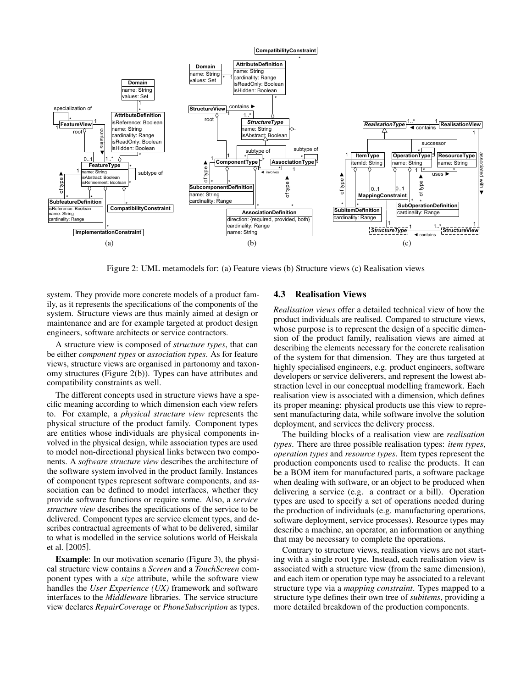

Figure 2: UML metamodels for: (a) Feature views (b) Structure views (c) Realisation views

system. They provide more concrete models of a product family, as it represents the specifications of the components of the system. Structure views are thus mainly aimed at design or maintenance and are for example targeted at product design engineers, software architects or service contractors.

A structure view is composed of *structure types*, that can be either *component types* or *association types*. As for feature views, structure views are organised in partonomy and taxonomy structures (Figure 2(b)). Types can have attributes and compatibility constraints as well.

The different concepts used in structure views have a specific meaning according to which dimension each view refers to. For example, a *physical structure view* represents the physical structure of the product family. Component types are entities whose individuals are physical components involved in the physical design, while association types are used to model non-directional physical links between two components. A *software structure view* describes the architecture of the software system involved in the product family. Instances of component types represent software components, and association can be defined to model interfaces, whether they provide software functions or require some. Also, a *service structure view* describes the specifications of the service to be delivered. Component types are service element types, and describes contractual agreements of what to be delivered, similar to what is modelled in the service solutions world of Heiskala et al. [2005].

Example: In our motivation scenario (Figure 3), the physical structure view contains a *Screen* and a *TouchScreen* component types with a *size* attribute, while the software view handles the *User Experience (UX)* framework and software interfaces to the *Middleware* libraries. The service structure view declares *RepairCoverage* or *PhoneSubscription* as types.

#### 4.3 Realisation Views

*Realisation views* offer a detailed technical view of how the product individuals are realised. Compared to structure views, whose purpose is to represent the design of a specific dimension of the product family, realisation views are aimed at describing the elements necessary for the concrete realisation of the system for that dimension. They are thus targeted at highly specialised engineers, e.g. product engineers, software developers or service deliverers, and represent the lowest abstraction level in our conceptual modelling framework. Each realisation view is associated with a dimension, which defines its proper meaning: physical products use this view to represent manufacturing data, while software involve the solution deployment, and services the delivery process.

The building blocks of a realisation view are *realisation types*. There are three possible realisation types: *item types*, *operation types* and *resource types*. Item types represent the production components used to realise the products. It can be a BOM item for manufactured parts, a software package when dealing with software, or an object to be produced when delivering a service (e.g. a contract or a bill). Operation types are used to specify a set of operations needed during the production of individuals (e.g. manufacturing operations, software deployment, service processes). Resource types may describe a machine, an operator, an information or anything that may be necessary to complete the operations.

Contrary to structure views, realisation views are not starting with a single root type. Instead, each realisation view is associated with a structure view (from the same dimension), and each item or operation type may be associated to a relevant structure type via a *mapping constraint*. Types mapped to a structure type defines their own tree of *subitems*, providing a more detailed breakdown of the production components.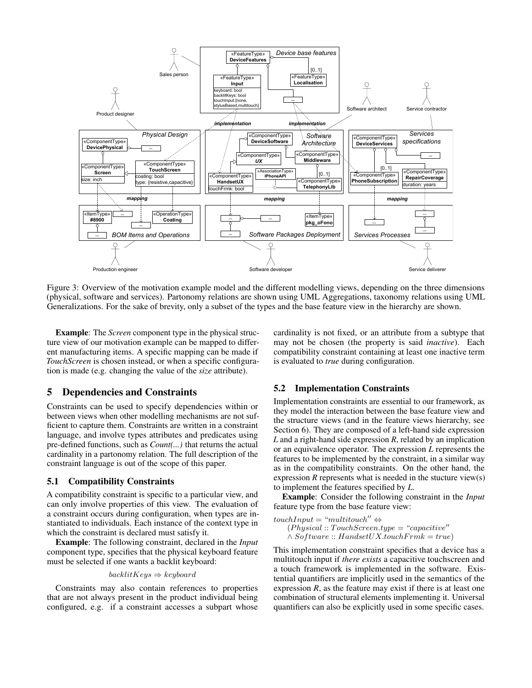

Figure 3: Overview of the motivation example model and the different modelling views, depending on the three dimensions (physical, software and services). Partonomy relations are shown using UML Aggregations, taxonomy relations using UML Generalizations. For the sake of brevity, only a subset of the types and the base feature view in the hierarchy are shown.

Example: The *Screen* component type in the physical structure view of our motivation example can be mapped to different manufacturing items. A specific mapping can be made if *TouchScreen* is chosen instead, or when a specific configuration is made (e.g. changing the value of the *size* attribute).

## 5 Dependencies and Constraints

Constraints can be used to specify dependencies within or between views when other modelling mechanisms are not sufficient to capture them. Constraints are written in a constraint language, and involve types attributes and predicates using pre-defined functions, such as *Count(...)* that returns the actual cardinality in a partonomy relation. The full description of the constraint language is out of the scope of this paper.

### 5.1 Compatibility Constraints

A compatibility constraint is specific to a particular view, and can only involve properties of this view. The evaluation of a constraint occurs during configuration, when types are instantiated to individuals. Each instance of the context type in which the constraint is declared must satisfy it.

Example: The following constraint, declared in the *Input* component type, specifies that the physical keyboard feature must be selected if one wants a backlit keyboard:

#### $backlitKeys \Rightarrow keyword$

Constraints may also contain references to properties that are not always present in the product individual being configured, e.g. if a constraint accesses a subpart whose cardinality is not fixed, or an attribute from a subtype that may not be chosen (the property is said *inactive*). Each compatibility constraint containing at least one inactive term is evaluated to *true* during configuration.

#### 5.2 Implementation Constraints

Implementation constraints are essential to our framework, as they model the interaction between the base feature view and the structure views (and in the feature views hierarchy, see Section 6). They are composed of a left-hand side expression *L* and a right-hand side expression *R*, related by an implication or an equivalence operator. The expression *L* represents the features to be implemented by the constraint, in a similar way as in the compatibility constraints. On the other hand, the expression *R* represents what is needed in the stucture view(s) to implement the features specified by *L*.

Example: Consider the following constraint in the *Input* feature type from the base feature view:

 $touchInput = "multitouch" \Leftrightarrow$  $(Physical:: TouchScreen.type = "capacitive"$  $\wedge$  Software :: HandsetUX.touchFrmk = true)

This implementation constraint specifies that a device has a multitouch input if *there exists* a capacitive touchscreen and a touch framework is implemented in the software. Existential quantifiers are implicitly used in the semantics of the expression *, as the feature may exist if there is at least one* combination of structural elements implementing it. Universal quantifiers can also be explicitly used in some specific cases.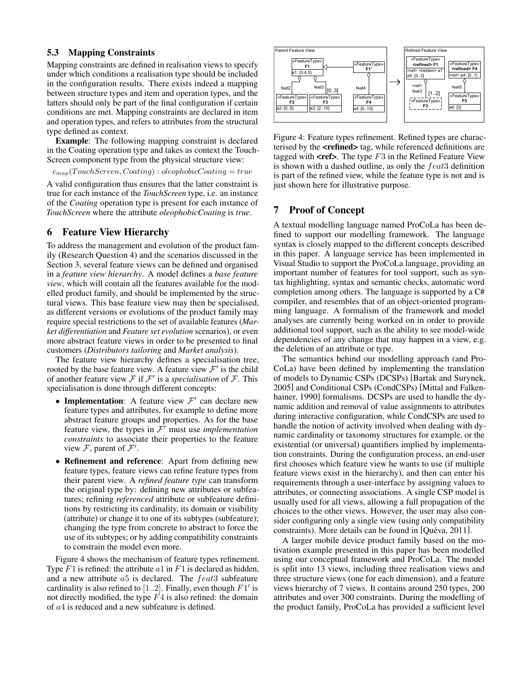#### 5.3 Mapping Constraints

Mapping constraints are defined in realisation views to specify under which conditions a realisation type should be included in the configuration results. There exists indeed a mapping between structure types and item and operation types, and the latters should only be part of the final configuration if certain conditions are met. Mapping constraints are declared in item and operation types, and refers to attributes from the structural type defined as context.

Example: The following mapping constraint is declared in the Coating operation type and takes as context the Touch-Screen component type from the physical structure view:

 $c_{map}(TouchScreen, Coating) : oleophobic Coating = true$ 

A valid configuration thus ensures that the latter constraint is true for each instance of the *TouchScreen* type, i.e. an instance of the *Coating* operation type is present for each instance of *TouchScreen* where the attribute *oleophobicCoating* is *true*.

### 6 Feature View Hierarchy

To address the management and evolution of the product family (Research Question 4) and the scenarios discussed in the Section 3, several feature views can be defined and organised in a *feature view hierarchy*. A model defines a *base feature view*, which will contain all the features available for the modelled product family, and should be implemented by the structural views. This base feature view may then be specialised, as different versions or evolutions of the product family may require special restrictions to the set of available features (*Market differentiation* and *Feature set evolution* scenarios), or even more abstract feature views in order to be presented to final customers (*Distributors tailoring* and *Market analysis*).

The feature view hierarchy defines a specialisation tree, rooted by the base feature view. A feature view  $\mathcal{F}'$  is the child of another feature view  $\mathcal F$  if  $\mathcal F'$  is a *specialisation* of  $\mathcal F$ . This specialisation is done through different concepts:

- Implementation: A feature view  $\mathcal{F}'$  can declare new feature types and attributes, for example to define more abstract feature groups and properties. As for the base feature view, the types in  $\mathcal{F}'$  must use *implementation constraints* to associate their properties to the feature view  $\mathcal{F}$ , parent of  $\mathcal{F}'$ .
- Refinement and reference: Apart from defining new feature types, feature views can refine feature types from their parent view. A *refined feature type* can transform the original type by: defining new attributes or subfeatures; refining *referenced* attribute or subfeature definitions by restricting its cardinality, its domain or visibility (attribute) or change it to one of its subtypes (subfeature); changing the type from concrete to abstract to force the use of its subtypes; or by adding compatibility constraints to constrain the model even more.

Figure 4 shows the mechanism of feature types refinement. Type  $F1$  is refined: the attribute  $a1$  in  $F1$  is declared as hidden, and a new attribute a5 is declared. The feat3 subfeature cardinality is also refined to [1..2]. Finally, even though  $F1'$  is not directly modified, the type  $F4$  is also refined: the domain of a4 is reduced and a new subfeature is defined.



Figure 4: Feature types refinement. Refined types are characterised by the **<refined>** tag, while referenced definitions are tagged with  $\text{}$ . The type  $F3$  in the Refined Feature View is shown with a dashed outline, as only the  $feat3$  definition is part of the refined view, while the feature type is not and is just shown here for illustrative purpose.

### 7 Proof of Concept

A textual modelling language named ProCoLa has been defined to support our modelling framework. The language syntax is closely mapped to the different concepts described in this paper. A language service has been implemented in Visual Studio to support the ProCoLa language, providing an important number of features for tool support, such as syntax highlighting, syntax and semantic checks, automatic word completion among others. The language is supported by a C# compiler, and resembles that of an object-oriented programming language. A formalism of the framework and model analyses are currently being worked on in order to provide additional tool support, such as the ability to see model-wide dependencies of any change that may happen in a view, e.g. the deletion of an attribute or type.

The semantics behind our modelling approach (and Pro-CoLa) have been defined by implementing the translation of models to Dynamic CSPs (DCSPs) [Bartak and Surynek, 2005] and Conditional CSPs (CondCSPs) [Mittal and Falkenhainer, 1990] formalisms. DCSPs are used to handle the dynamic addition and removal of value assignments to attributes during interactive configuration, while CondCSPs are used to handle the notion of activity involved when dealing with dynamic cardinality or taxonomy structures for example, or the existential (or universal) quantifiers implied by implementation constraints. During the configuration process, an end-user first chooses which feature view he wants to use (if multiple feature views exist in the hierarchy), and then can enter his requirements through a user-interface by assigning values to attributes, or connecting associations. A single CSP model is usually used for all views, allowing a full propagation of the choices to the other views. However, the user may also consider configuring only a single view (using only compatibility constraints). More details can be found in [Quéva, 2011].

A larger mobile device product family based on the motivation example presented in this paper has been modelled using our conceptual framework and ProCoLa. The model is split into 13 views, including three realisation views and three structure views (one for each dimension), and a feature views hierarchy of 7 views. It contains around 250 types, 200 attributes and over 300 constraints. During the modelling of the product family, ProCoLa has provided a sufficient level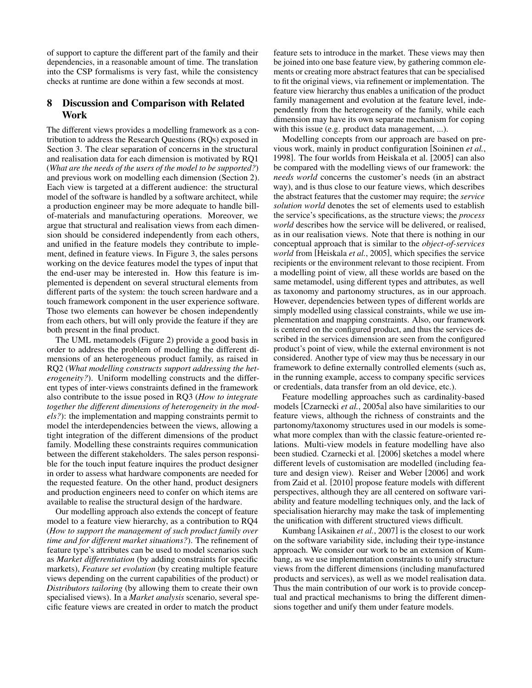of support to capture the different part of the family and their dependencies, in a reasonable amount of time. The translation into the CSP formalisms is very fast, while the consistency checks at runtime are done within a few seconds at most.

## 8 Discussion and Comparison with Related Work

The different views provides a modelling framework as a contribution to address the Research Questions (RQs) exposed in Section 3. The clear separation of concerns in the structural and realisation data for each dimension is motivated by RQ1 (*What are the needs of the users of the model to be supported?*) and previous work on modelling each dimension (Section 2). Each view is targeted at a different audience: the structural model of the software is handled by a software architect, while a production engineer may be more adequate to handle billof-materials and manufacturing operations. Moreover, we argue that structural and realisation views from each dimension should be considered independently from each others, and unified in the feature models they contribute to implement, defined in feature views. In Figure 3, the sales persons working on the device features model the types of input that the end-user may be interested in. How this feature is implemented is dependent on several structural elements from different parts of the system: the touch screen hardware and a touch framework component in the user experience software. Those two elements can however be chosen independently from each others, but will only provide the feature if they are both present in the final product.

The UML metamodels (Figure 2) provide a good basis in order to address the problem of modelling the different dimensions of an heterogeneous product family, as raised in RQ2 (*What modelling constructs support addressing the heterogeneity?*). Uniform modelling constructs and the different types of inter-views constraints defined in the framework also contribute to the issue posed in RQ3 (*How to integrate together the different dimensions of heterogeneity in the models?*): the implementation and mapping constraints permit to model the interdependencies between the views, allowing a tight integration of the different dimensions of the product family. Modelling these constraints requires communication between the different stakeholders. The sales person responsible for the touch input feature inquires the product designer in order to assess what hardware components are needed for the requested feature. On the other hand, product designers and production engineers need to confer on which items are available to realise the structural design of the hardware.

Our modelling approach also extends the concept of feature model to a feature view hierarchy, as a contribution to RQ4 (*How to support the management of such product family over time and for different market situations?*). The refinement of feature type's attributes can be used to model scenarios such as *Market differentiation* (by adding constraints for specific markets), *Feature set evolution* (by creating multiple feature views depending on the current capabilities of the product) or *Distributors tailoring* (by allowing them to create their own specialised views). In a *Market analysis* scenario, several specific feature views are created in order to match the product

feature sets to introduce in the market. These views may then be joined into one base feature view, by gathering common elements or creating more abstract features that can be specialised to fit the original views, via refinement or implementation. The feature view hierarchy thus enables a unification of the product family management and evolution at the feature level, independently from the heterogeneity of the family, while each dimension may have its own separate mechanism for coping with this issue (e.g. product data management, ...).

Modelling concepts from our approach are based on previous work, mainly in product configuration [Soininen *et al.*, 1998]. The four worlds from Heiskala et al. [2005] can also be compared with the modelling views of our framework: the *needs world* concerns the customer's needs (in an abstract way), and is thus close to our feature views, which describes the abstract features that the customer may require; the *service solution world* denotes the set of elements used to establish the service's specifications, as the structure views; the *process world* describes how the service will be delivered, or realised, as in our realisation views. Note that there is nothing in our conceptual approach that is similar to the *object-of-services world* from [Heiskala *et al.*, 2005], which specifies the service recipients or the environment relevant to those recipient. From a modelling point of view, all these worlds are based on the same metamodel, using different types and attributes, as well as taxonomy and partonomy structures, as in our approach. However, dependencies between types of different worlds are simply modelled using classical constraints, while we use implementation and mapping constraints. Also, our framework is centered on the configured product, and thus the services described in the services dimension are seen from the configured product's point of view, while the external environment is not considered. Another type of view may thus be necessary in our framework to define externally controlled elements (such as, in the running example, access to company specific services or credentials, data transfer from an old device, etc.).

Feature modelling approaches such as cardinality-based models [Czarnecki *et al.*, 2005a] also have similarities to our feature views, although the richness of constraints and the partonomy/taxonomy structures used in our models is somewhat more complex than with the classic feature-oriented relations. Multi-view models in feature modelling have also been studied. Czarnecki et al. [2006] sketches a model where different levels of customisation are modelled (including feature and design view). Reiser and Weber [2006] and work from Zaid et al. [2010] propose feature models with different perspectives, although they are all centered on software variability and feature modelling techniques only, and the lack of specialisation hierarchy may make the task of implementing the unification with different structured views difficult.

Kumbang [Asikainen *et al.*, 2007] is the closest to our work on the software variability side, including their type-instance approach. We consider our work to be an extension of Kumbang, as we use implementation constraints to unify structure views from the different dimensions (including manufactured products and services), as well as we model realisation data. Thus the main contribution of our work is to provide conceptual and practical mechanisms to bring the different dimensions together and unify them under feature models.